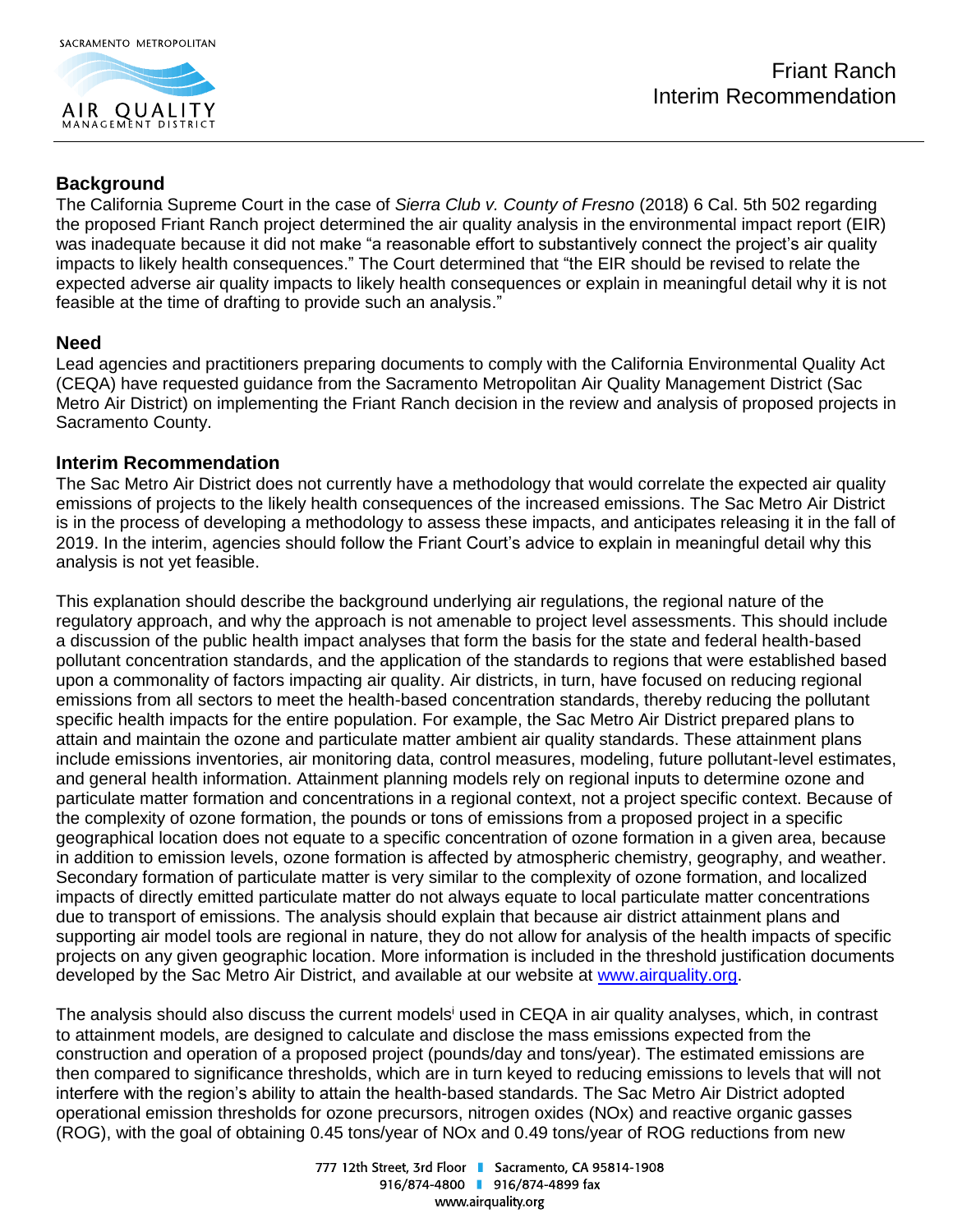

# **Background**

The California Supreme Court in the case of *Sierra Club v. County of Fresno* (2018) 6 Cal. 5th 502 regarding the proposed Friant Ranch project determined the air quality analysis in the environmental impact report (EIR) was inadequate because it did not make "a reasonable effort to substantively connect the project's air quality impacts to likely health consequences." The Court determined that "the EIR should be revised to relate the expected adverse air quality impacts to likely health consequences or explain in meaningful detail why it is not feasible at the time of drafting to provide such an analysis."

#### **Need**

Lead agencies and practitioners preparing documents to comply with the California Environmental Quality Act (CEQA) have requested guidance from the Sacramento Metropolitan Air Quality Management District (Sac Metro Air District) on implementing the Friant Ranch decision in the review and analysis of proposed projects in Sacramento County.

#### **Interim Recommendation**

The Sac Metro Air District does not currently have a methodology that would correlate the expected air quality emissions of projects to the likely health consequences of the increased emissions. The Sac Metro Air District is in the process of developing a methodology to assess these impacts, and anticipates releasing it in the fall of 2019. In the interim, agencies should follow the Friant Court's advice to explain in meaningful detail why this analysis is not yet feasible.

This explanation should describe the background underlying air regulations, the regional nature of the regulatory approach, and why the approach is not amenable to project level assessments. This should include a discussion of the public health impact analyses that form the basis for the state and federal health-based pollutant concentration standards, and the application of the standards to regions that were established based upon a commonality of factors impacting air quality. Air districts, in turn, have focused on reducing regional emissions from all sectors to meet the health-based concentration standards, thereby reducing the pollutant specific health impacts for the entire population. For example, the Sac Metro Air District prepared plans to attain and maintain the ozone and particulate matter ambient air quality standards. These attainment plans include emissions inventories, air monitoring data, control measures, modeling, future pollutant-level estimates, and general health information. Attainment planning models rely on regional inputs to determine ozone and particulate matter formation and concentrations in a regional context, not a project specific context. Because of the complexity of ozone formation, the pounds or tons of emissions from a proposed project in a specific geographical location does not equate to a specific concentration of ozone formation in a given area, because in addition to emission levels, ozone formation is affected by atmospheric chemistry, geography, and weather. Secondary formation of particulate matter is very similar to the complexity of ozone formation, and localized impacts of directly emitted particulate matter do not always equate to local particulate matter concentrations due to transport of emissions. The analysis should explain that because air district attainment plans and supporting air model tools are regional in nature, they do not allow for analysis of the health impacts of specific projects on any given geographic location. More information is included in the threshold justification documents developed by the Sac Metro Air District, and available at our website at [www.airquality.org.](http://www.airquality.org/)

The analysis should also discuss the current models<sup>i</sup> used in CEQA in air quality analyses, which, in contrast to attainment models, are designed to calculate and disclose the mass emissions expected from the construction and operation of a proposed project (pounds/day and tons/year). The estimated emissions are then compared to significance thresholds, which are in turn keyed to reducing emissions to levels that will not interfere with the region's ability to attain the health-based standards. The Sac Metro Air District adopted operational emission thresholds for ozone precursors, nitrogen oxides (NOx) and reactive organic gasses (ROG), with the goal of obtaining 0.45 tons/year of NOx and 0.49 tons/year of ROG reductions from new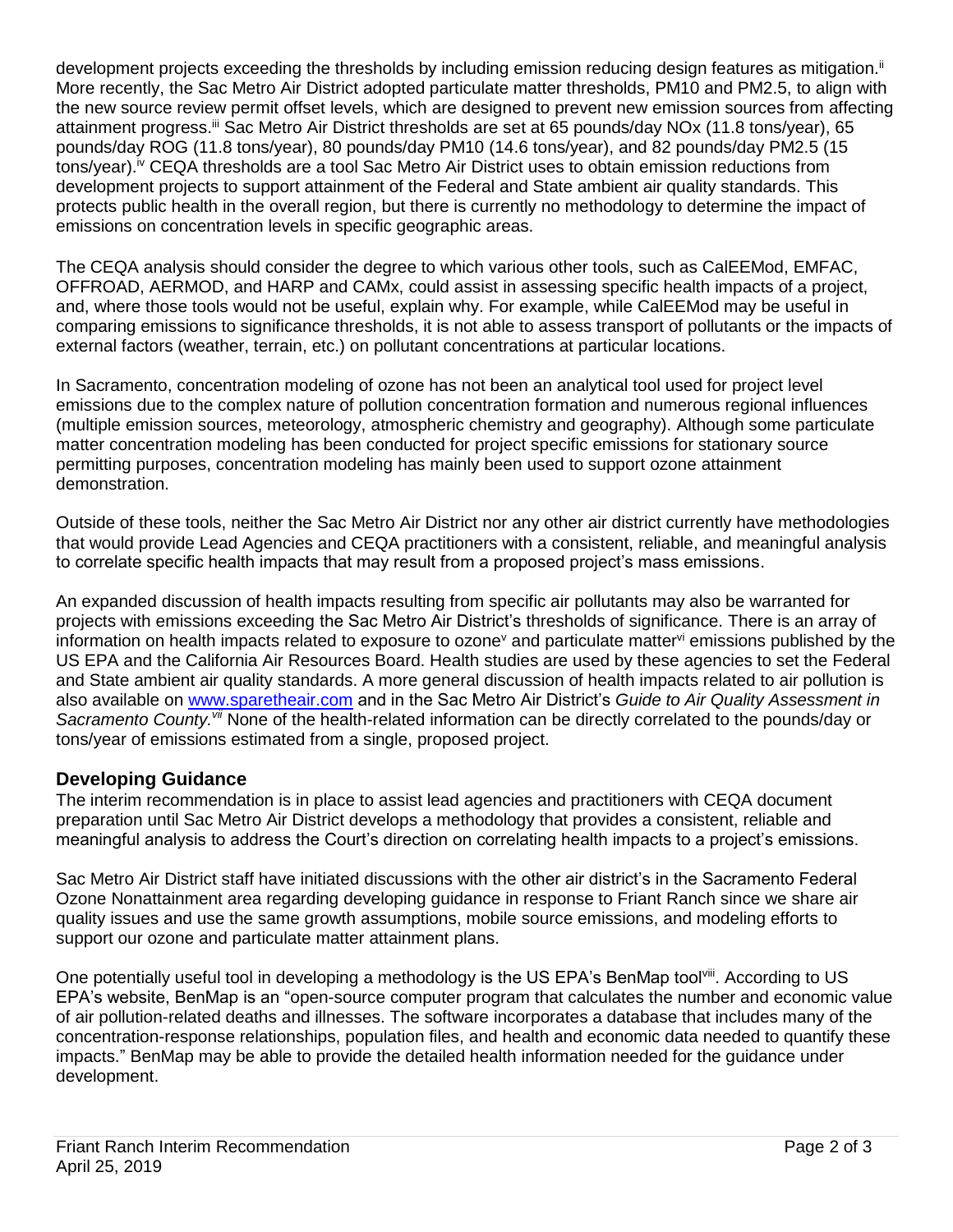development projects exceeding the thresholds by including emission reducing design features as mitigation.<sup>ii</sup> More recently, the Sac Metro Air District adopted particulate matter thresholds, PM10 and PM2.5, to align with the new source review permit offset levels, which are designed to prevent new emission sources from affecting attainment progress.<sup>iii</sup> Sac Metro Air District thresholds are set at 65 pounds/day NOx (11.8 tons/year), 65 pounds/day ROG (11.8 tons/year), 80 pounds/day PM10 (14.6 tons/year), and 82 pounds/day PM2.5 (15 tons/year).iv CEQA thresholds are a tool Sac Metro Air District uses to obtain emission reductions from development projects to support attainment of the Federal and State ambient air quality standards. This protects public health in the overall region, but there is currently no methodology to determine the impact of emissions on concentration levels in specific geographic areas.

The CEQA analysis should consider the degree to which various other tools, such as CalEEMod, EMFAC, OFFROAD, AERMOD, and HARP and CAMx, could assist in assessing specific health impacts of a project, and, where those tools would not be useful, explain why. For example, while CalEEMod may be useful in comparing emissions to significance thresholds, it is not able to assess transport of pollutants or the impacts of external factors (weather, terrain, etc.) on pollutant concentrations at particular locations.

In Sacramento, concentration modeling of ozone has not been an analytical tool used for project level emissions due to the complex nature of pollution concentration formation and numerous regional influences (multiple emission sources, meteorology, atmospheric chemistry and geography). Although some particulate matter concentration modeling has been conducted for project specific emissions for stationary source permitting purposes, concentration modeling has mainly been used to support ozone attainment demonstration.

Outside of these tools, neither the Sac Metro Air District nor any other air district currently have methodologies that would provide Lead Agencies and CEQA practitioners with a consistent, reliable, and meaningful analysis to correlate specific health impacts that may result from a proposed project's mass emissions.

An expanded discussion of health impacts resulting from specific air pollutants may also be warranted for projects with emissions exceeding the Sac Metro Air District's thresholds of significance. There is an array of information on health impacts related to exposure to ozone<sup>v</sup> and particulate matter<sup>vi</sup> emissions published by the US EPA and the California Air Resources Board. Health studies are used by these agencies to set the Federal and State ambient air quality standards. A more general discussion of health impacts related to air pollution is also available on [www.sparetheair.com](http://www.sparetheair.com/) and in the Sac Metro Air District's *Guide to Air Quality Assessment in Sacramento County.vii* None of the health-related information can be directly correlated to the pounds/day or tons/year of emissions estimated from a single, proposed project.

### **Developing Guidance**

The interim recommendation is in place to assist lead agencies and practitioners with CEQA document preparation until Sac Metro Air District develops a methodology that provides a consistent, reliable and meaningful analysis to address the Court's direction on correlating health impacts to a project's emissions.

Sac Metro Air District staff have initiated discussions with the other air district's in the Sacramento Federal Ozone Nonattainment area regarding developing guidance in response to Friant Ranch since we share air quality issues and use the same growth assumptions, mobile source emissions, and modeling efforts to support our ozone and particulate matter attainment plans.

One potentially useful tool in developing a methodology is the US EPA's BenMap tool<sup>viii</sup>. According to US EPA's website, BenMap is an "open-source computer program that calculates the number and economic value of air pollution-related deaths and illnesses. The software incorporates a database that includes many of the concentration-response relationships, population files, and health and economic data needed to quantify these impacts." BenMap may be able to provide the detailed health information needed for the guidance under development.